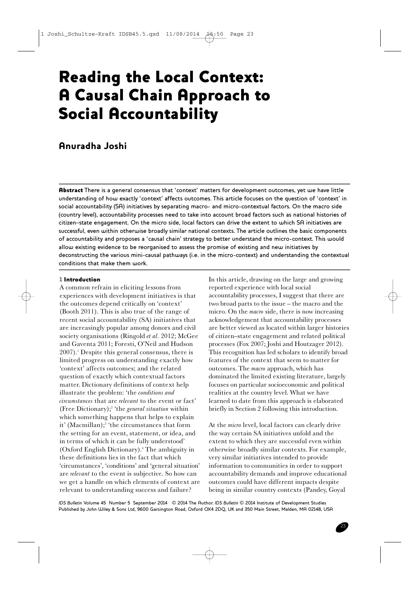# Reading the Local Context: A Causal Chain Approach to Social Accountability

# Anuradha Joshi

Abstract There is a general consensus that 'context' matters for development outcomes, yet we have little understanding of how exactly 'context' affects outcomes. This article focuses on the question of 'context' in social accountability (SA) initiatives by separating macro- and micro-contextual factors. On the macro side (country level), accountability processes need to take into account broad factors such as national histories of citizen–state engagement. On the micro side, local factors can drive the extent to which SA initiatives are successful, even within otherwise broadly similar national contexts. The article outlines the basic components of accountability and proposes a 'causal chain' strategy to better understand the micro-context. This would allow existing evidence to be reorganised to assess the promise of existing and new initiatives by deconstructing the various mini-causal pathways (i.e. in the micro-context) and understanding the contextual conditions that make them work.

#### 1 Introduction

A common refrain in eliciting lessons from experiences with development initiatives is that the outcomes depend critically on 'context' (Booth 2011). This is also true of the range of recent social accountability (SA) initiatives that are increasingly popular among donors and civil society organisations (Ringold *et al.* 2012; McGee and Gaventa 2011; Foresti, O'Neil and Hudson 2007).1 Despite this general consensus, there is limited progress on understanding exactly how 'context' affects outcomes; and the related question of exactly which contextual factors matter. Dictionary definitions of context help illustrate the problem: 'the *conditions and circumstances* that are *relevant* to the event or fact' (Free Dictionary);2 'the *general situation* within which something happens that helps to explain it' (Macmillan);<sup>3</sup> 'the circumstances that form the setting for an event, statement, or idea, and in terms of which it can be fully understood' (Oxford English Dictionary).4 The ambiguity in these definitions lies in the fact that which 'circumstances', 'conditions' and 'general situation' are *relevant* to the event is subjective. So how can we get a handle on which elements of context are relevant to understanding success and failure?

In this article, drawing on the large and growing reported experience with local social accountability processes, I suggest that there are two broad parts to the issue – the macro and the micro. On the *macro* side, there is now increasing acknowledgement that accountability processes are better viewed as located within larger histories of citizen–state engagement and related political processes (Fox 2007; Joshi and Houtzager 2012). This recognition has led scholars to identify broad features of the context that seem to matter for outcomes. The *macro* approach, which has dominated the limited existing literature, largely focuses on particular socioeconomic and political realities at the country level. What we have learned to date from this approach is elaborated briefly in Section 2 following this introduction.

At the *micro* level, local factors can clearly drive the way certain SA initiatives unfold and the extent to which they are successful even within otherwise broadly similar contexts. For example, very similar initiatives intended to provide information to communities in order to support accountability demands and improve educational outcomes could have different impacts despite being in similar country contexts (Pandey, Goyal

*IDS Bulletin* Volume 45 Number 5 September 2014 © 2014 The Author. *IDS Bulletin* © 2014 Institute of Development Studies Published by John Wiley & Sons Ltd, 9600 Garsington Road, Oxford OX4 2DQ, UK and 350 Main Street, Malden, MA 02148, USA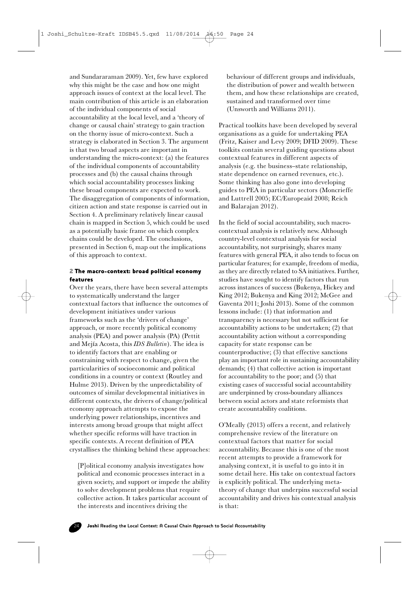and Sundararaman 2009). Yet, few have explored why this might be the case and how one might approach issues of context at the local level. The main contribution of this article is an elaboration of the individual components of social accountability at the local level, and a 'theory of change or causal chain' strategy to gain traction on the thorny issue of micro-context. Such a strategy is elaborated in Section 3. The argument is that two broad aspects are important in understanding the micro-context: (a) the features of the individual components of accountability processes and (b) the causal chains through which social accountability processes linking these broad components are expected to work. The disaggregation of components of information, citizen action and state response is carried out in Section 4. A preliminary relatively linear causal chain is mapped in Section 5, which could be used as a potentially basic frame on which complex chains could be developed. The conclusions, presented in Section 6, map out the implications of this approach to context.

### 2 The macro-context: broad political economy features

Over the years, there have been several attempts to systematically understand the larger contextual factors that influence the outcomes of development initiatives under various frameworks such as the 'drivers of change' approach, or more recently political economy analysis (PEA) and power analysis (PA) (Pettit and Mejía Acosta, this *IDS Bulletin*). The idea is to identify factors that are enabling or constraining with respect to change, given the particularities of socioeconomic and political conditions in a country or context (Routley and Hulme 2013). Driven by the unpredictability of outcomes of similar developmental initiatives in different contexts, the drivers of change/political economy approach attempts to expose the underlying power relationships, incentives and interests among broad groups that might affect whether specific reforms will have traction in specific contexts. A recent definition of PEA crystallises the thinking behind these approaches:

[P]olitical economy analysis investigates how political and economic processes interact in a given society, and support or impede the ability to solve development problems that require collective action. It takes particular account of the interests and incentives driving the

behaviour of different groups and individuals, the distribution of power and wealth between them, and how these relationships are created, sustained and transformed over time (Unsworth and Williams 2011).

Practical toolkits have been developed by several organisations as a guide for undertaking PEA (Fritz, Kaiser and Levy 2009; DFID 2009). These toolkits contain several guiding questions about contextual features in different aspects of analysis (e.g. the business–state relationship, state dependence on earned revenues, etc.). Some thinking has also gone into developing guides to PEA in particular sectors (Moncrieffe and Luttrell 2005; EC/Europeaid 2008; Reich and Balarajan 2012).

In the field of social accountability, such macrocontextual analysis is relatively new. Although country-level contextual analysis for social accountability, not surprisingly, shares many features with general PEA, it also tends to focus on particular features; for example, freedom of media, as they are directly related to SA initiatives. Further, studies have sought to identify factors that run across instances of success (Bukenya, Hickey and King 2012; Bukenya and King 2012; McGee and Gaventa 2011; Joshi 2013). Some of the common lessons include: (1) that information and transparency is necessary but not sufficient for accountability actions to be undertaken; (2) that accountability action without a corresponding capacity for state response can be counterproductive; (3) that effective sanctions play an important role in sustaining accountability demands; (4) that collective action is important for accountability to the poor; and (5) that existing cases of successful social accountability are underpinned by cross-boundary alliances between social actors and state reformists that create accountability coalitions.

O'Meally (2013) offers a recent, and relatively comprehensive review of the literature on contextual factors that matter for social accountability. Because this is one of the most recent attempts to provide a framework for analysing context, it is useful to go into it in some detail here. His take on contextual factors is explicitly political. The underlying metatheory of change that underpins successful social accountability and drives his contextual analysis is that: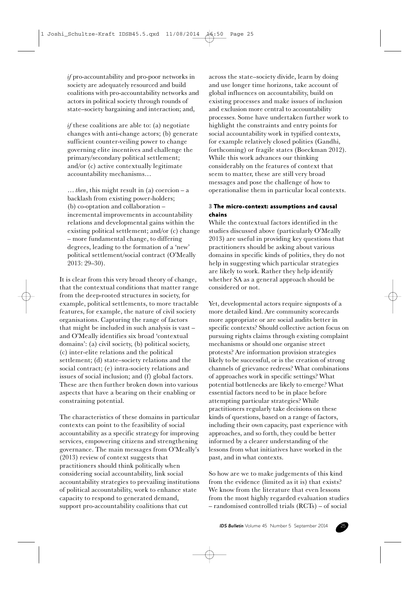*if* pro-accountability and pro-poor networks in society are adequately resourced and build coalitions with pro-accountability networks and actors in political society through rounds of state–society bargaining and interaction; and,

*if* these coalitions are able to: (a) negotiate changes with anti-change actors; (b) generate sufficient counter-veiling power to change governing elite incentives and challenge the primary/secondary political settlement; and/or (c) active contextually legitimate accountability mechanisms…

… *then*, this might result in (a) coercion – a backlash from existing power-holders; (b) co-optation and collaboration – incremental improvements in accountability relations and developmental gains within the existing political settlement; and/or (c) change – more fundamental change, to differing degrees, leading to the formation of a 'new' political settlement/social contract (O'Meally 2013: 29–30).

It is clear from this very broad theory of change, that the contextual conditions that matter range from the deep-rooted structures in society, for example, political settlements, to more tractable features, for example, the nature of civil society organisations. Capturing the range of factors that might be included in such analysis is vast – and O'Meally identifies six broad 'contextual domains': (a) civil society, (b) political society, (c) inter-elite relations and the political settlement; (d) state–society relations and the social contract; (e) intra-society relations and issues of social inclusion; and (f) global factors. These are then further broken down into various aspects that have a bearing on their enabling or constraining potential.

The characteristics of these domains in particular contexts can point to the feasibility of social accountability as a specific strategy for improving services, empowering citizens and strengthening governance. The main messages from O'Meally's (2013) review of context suggests that practitioners should think politically when considering social accountability, link social accountability strategies to prevailing institutions of political accountability, work to enhance state capacity to respond to generated demand, support pro-accountability coalitions that cut

across the state–society divide, learn by doing and use longer time horizons, take account of global influences on accountability, build on existing processes and make issues of inclusion and exclusion more central to accountability processes. Some have undertaken further work to highlight the constraints and entry points for social accountability work in typified contexts, for example relatively closed polities (Gandhi, forthcoming) or fragile states (Boeckman 2012). While this work advances our thinking considerably on the features of context that seem to matter, these are still very broad messages and pose the challenge of how to operationalise them in particular local contexts.

# 3 The micro-context: assumptions and causal chains

While the contextual factors identified in the studies discussed above (particularly O'Meally 2013) are useful in providing key questions that practitioners should be asking about various domains in specific kinds of polities, they do not help in suggesting which particular strategies are likely to work. Rather they help identify whether SA as a general approach should be considered or not.

Yet, developmental actors require signposts of a more detailed kind. Are community scorecards more appropriate or are social audits better in specific contexts? Should collective action focus on pursuing rights claims through existing complaint mechanisms or should one organise street protests? Are information provision strategies likely to be successful, or is the creation of strong channels of grievance redress? What combinations of approaches work in specific settings? What potential bottlenecks are likely to emerge? What essential factors need to be in place before attempting particular strategies? While practitioners regularly take decisions on these kinds of questions, based on a range of factors, including their own capacity, past experience with approaches, and so forth, they could be better informed by a clearer understanding of the lessons from what initiatives have worked in the past, and in what contexts.

So how are we to make judgements of this kind from the evidence (limited as it is) that exists? We know from the literature that even lessons from the most highly regarded evaluation studies – randomised controlled trials (RCTs) – of social

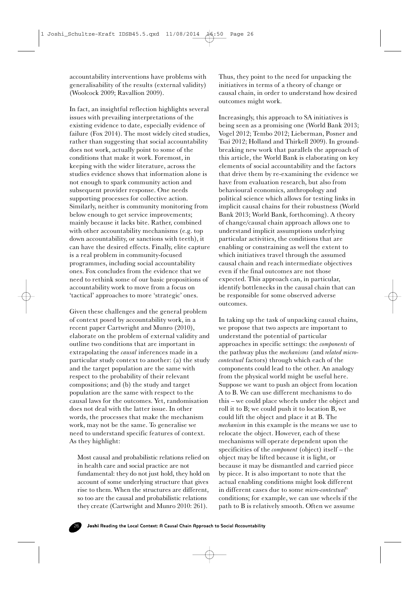accountability interventions have problems with generalisability of the results (external validity) (Woolcock 2009; Ravallion 2009).

In fact, an insightful reflection highlights several issues with prevailing interpretations of the existing evidence to date, especially evidence of failure (Fox 2014). The most widely cited studies, rather than suggesting that social accountability does not work, actually point to some of the conditions that make it work. Foremost, in keeping with the wider literature, across the studies evidence shows that information alone is not enough to spark community action and subsequent provider response. One needs supporting processes for collective action. Similarly, neither is community monitoring from below enough to get service improvements; mainly because it lacks bite. Rather, combined with other accountability mechanisms (e.g. top down accountability, or sanctions with teeth), it can have the desired effects. Finally, elite capture is a real problem in community-focused programmes, including social accountability ones. Fox concludes from the evidence that we need to rethink some of our basic propositions of accountability work to move from a focus on 'tactical' approaches to more 'strategic' ones.

Given these challenges and the general problem of context posed by accountability work, in a recent paper Cartwright and Munro (2010), elaborate on the problem of external validity and outline two conditions that are important in extrapolating the *causal* inferences made in a particular study context to another: (a) the study and the target population are the same with respect to the probability of their relevant compositions; and (b) the study and target population are the same with respect to the causal laws for the outcomes. Yet, randomisation does not deal with the latter issue. In other words, the processes that make the mechanism work, may not be the same. To generalise we need to understand specific features of context. As they highlight:

Most causal and probabilistic relations relied on in health care and social practice are not fundamental: they do not just hold, they hold on account of some underlying structure that gives rise to them. When the structures are different, so too are the causal and probabilistic relations they create (Cartwright and Munro 2010: 261).

Thus, they point to the need for unpacking the initiatives in terms of a theory of change or causal chain, in order to understand how desired outcomes might work.

Increasingly, this approach to SA initiatives is being seen as a promising one (World Bank 2013; Vogel 2012; Tembo 2012; Lieberman, Posner and Tsai 2012; Holland and Thirkell 2009). In groundbreaking new work that parallels the approach of this article, the World Bank is elaborating on key elements of social accountability and the factors that drive them by re-examining the evidence we have from evaluation research, but also from behavioural economics, anthropology and political science which allows for testing links in implicit causal chains for their robustness (World Bank 2013; World Bank, forthcoming). A theory of change/causal chain approach allows one to understand implicit assumptions underlying particular activities, the conditions that are enabling or constraining as well the extent to which initiatives travel through the assumed causal chain and reach intermediate objectives even if the final outcomes are not those expected. This approach can, in particular, identify bottlenecks in the causal chain that can be responsible for some observed adverse outcomes.

In taking up the task of unpacking causal chains, we propose that two aspects are important to understand the potential of particular approaches in specific settings: the *components* of the pathway plus the *mechanisms* (and *related microcontextual* factors) through which each of the components could lead to the other. An analogy from the physical world might be useful here. Suppose we want to push an object from location A to B. We can use different mechanisms to do this – we could place wheels under the object and roll it to B; we could push it to location B, we could lift the object and place it at B. The *mechanism* in this example is the means we use to relocate the object. However, each of these mechanisms will operate dependent upon the specificities of the *component* (object) itself – the object may be lifted because it is light, or because it may be dismantled and carried piece by piece. It is also important to note that the actual enabling conditions might look different in different cases due to some *micro-contextual*<sup>5</sup> conditions; for example, we can use wheels if the path to B is relatively smooth. Often we assume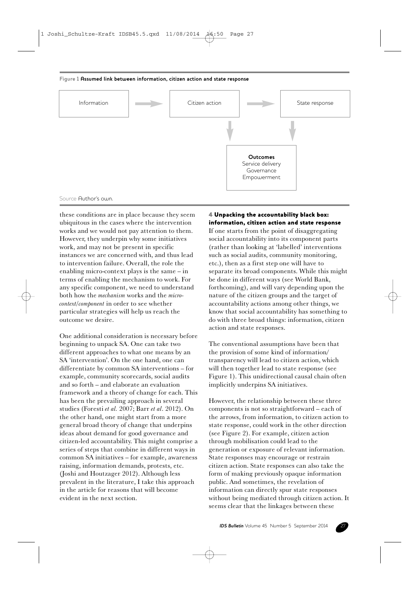#### **Figure 1 Assumed link between information, citizen action and state response**



Source Author's own.

these conditions are in place because they seem ubiquitous in the cases where the intervention works and we would not pay attention to them. However, they underpin why some initiatives work, and may not be present in specific instances we are concerned with, and thus lead to intervention failure. Overall, the role the enabling micro-context plays is the same – in terms of enabling the mechanism to work. For any specific component, we need to understand both how the *mechanism* works and the *microcontext/component* in order to see whether particular strategies will help us reach the outcome we desire.

One additional consideration is necessary before beginning to unpack SA. One can take two different approaches to what one means by an SA 'intervention'. On the one hand, one can differentiate by common SA interventions – for example, community scorecards, social audits and so forth – and elaborate an evaluation framework and a theory of change for each. This has been the prevailing approach in several studies (Foresti *et al.* 2007; Barr *et al*. 2012). On the other hand, one might start from a more general broad theory of change that underpins ideas about demand for good governance and citizen-led accountability. This might comprise a series of steps that combine in different ways in common SA initiatives – for example, awareness raising, information demands, protests, etc. (Joshi and Houtzager 2012). Although less prevalent in the literature, I take this approach in the article for reasons that will become evident in the next section.

4 Unpacking the accountability black box: information, citizen action and state response

If one starts from the point of disaggregating social accountability into its component parts (rather than looking at 'labelled' interventions such as social audits, community monitoring, etc.), then as a first step one will have to separate its broad components. While this might be done in different ways (see World Bank, forthcoming), and will vary depending upon the nature of the citizen groups and the target of accountability actions among other things, we know that social accountability has something to do with three broad things: information, citizen action and state responses.

The conventional assumptions have been that the provision of some kind of information/ transparency will lead to citizen action, which will then together lead to state response (see Figure 1). This unidirectional causal chain often implicitly underpins SA initiatives.

However, the relationship between these three components is not so straightforward – each of the arrows, from information, to citizen action to state response, could work in the other direction (see Figure 2). For example, citizen action through mobilisation could lead to the generation or exposure of relevant information. State responses may encourage or restrain citizen action. State responses can also take the form of making previously opaque information public. And sometimes, the revelation of information can directly spur state responses without being mediated through citizen action. It seems clear that the linkages between these

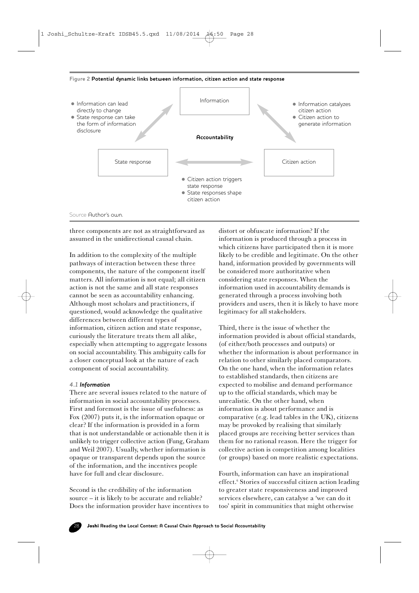**Figure 2 Potential dynamic links between information, citizen action and state response** 



three components are not as straightforward as assumed in the unidirectional causal chain.

In addition to the complexity of the multiple pathways of interaction between these three components, the nature of the component itself matters. All information is not equal; all citizen action is not the same and all state responses cannot be seen as accountability enhancing. Although most scholars and practitioners, if questioned, would acknowledge the qualitative differences between different types of information, citizen action and state response, curiously the literature treats them all alike, especially when attempting to aggregate lessons on social accountability. This ambiguity calls for a closer conceptual look at the nature of each component of social accountability.

#### *4.1 Information*

There are several issues related to the nature of information in social accountability processes. First and foremost is the issue of usefulness: as Fox (2007) puts it, is the information opaque or clear? If the information is provided in a form that is not understandable or actionable then it is unlikely to trigger collective action (Fung, Graham and Weil 2007). Usually, whether information is opaque or transparent depends upon the source of the information, and the incentives people have for full and clear disclosure.

Second is the credibility of the information source – it is likely to be accurate and reliable? Does the information provider have incentives to distort or obfuscate information? If the information is produced through a process in which citizens have participated then it is more likely to be credible and legitimate. On the other hand, information provided by governments will be considered more authoritative when considering state responses. When the information used in accountability demands is generated through a process involving both providers and users, then it is likely to have more legitimacy for all stakeholders.

Third, there is the issue of whether the information provided is about official standards, (of either/both processes and outputs) or whether the information is about performance in relation to other similarly placed comparators. On the one hand, when the information relates to established standards, then citizens are expected to mobilise and demand performance up to the official standards, which may be unrealistic. On the other hand, when information is about performance and is comparative (e.g. lead tables in the UK), citizens may be provoked by realising that similarly placed groups are receiving better services than them for no rational reason. Here the trigger for collective action is competition among localities (or groups) based on more realistic expectations.

Fourth, information can have an inspirational effect.6 Stories of successful citizen action leading to greater state responsiveness and improved services elsewhere, can catalyse a 'we can do it too' spirit in communities that might otherwise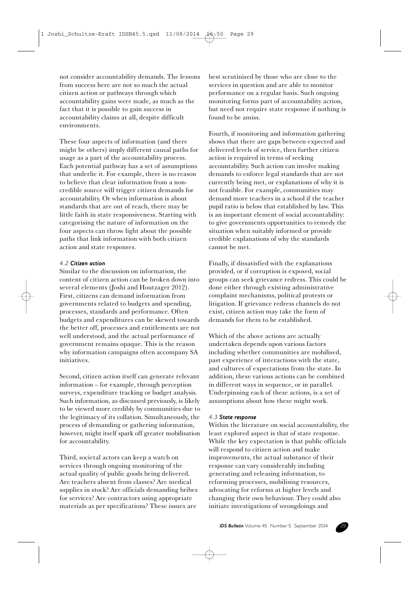not consider accountability demands. The lessons from success here are not so much the actual citizen action or pathways through which accountability gains were made, as much as the fact that it is possible to gain success in accountability claims at all, despite difficult environments.

These four aspects of information (and there might be others) imply different causal paths for usage as a part of the accountability process. Each potential pathway has a set of assumptions that underlie it. For example, there is no reason to believe that clear information from a noncredible source will trigger citizen demands for accountability. Or when information is about standards that are out of reach, there may be little faith in state responsiveness. Starting with categorising the nature of information on the four aspects can throw light about the possible paths that link information with both citizen action and state responses.

#### *4.2 Citizen action*

Similar to the discussion on information, the content of citizen action can be broken down into several elements (Joshi and Houtzager 2012). First, citizens can demand information from governments related to budgets and spending, processes, standards and performance. Often budgets and expenditures can be skewed towards the better off, processes and entitlements are not well understood, and the actual performance of government remains opaque. This is the reason why information campaigns often accompany SA initiatives.

Second, citizen action itself can generate relevant information – for example, through perception surveys, expenditure tracking or budget analysis. Such information, as discussed previously, is likely to be viewed more credibly by communities due to the legitimacy of its collation. Simultaneously, the process of demanding or gathering information, however, might itself spark off greater mobilisation for accountability.

Third, societal actors can keep a watch on services through ongoing monitoring of the actual quality of public goods being delivered. Are teachers absent from classes? Are medical supplies in stock? Are officials demanding bribes for services? Are contractors using appropriate materials as per specifications? These issues are

best scrutinised by those who are close to the services in question and are able to monitor performance on a regular basis. Such ongoing monitoring forms part of accountability action, but need not require state response if nothing is found to be amiss.

Fourth, if monitoring and information gathering shows that there are gaps between expected and delivered levels of service, then further citizen action is required in terms of seeking accountability. Such action can involve making demands to enforce legal standards that are not currently being met, or explanations of why it is not feasible. For example, communities may demand more teachers in a school if the teacher pupil ratio is below that established by law. This is an important element of social accountability: to give governments opportunities to remedy the situation when suitably informed or provide credible explanations of why the standards cannot be met.

Finally, if dissatisfied with the explanations provided, or if corruption is exposed, social groups can seek grievance redress. This could be done either through existing administrative complaint mechanisms, political protests or litigation. If grievance redress channels do not exist, citizen action may take the form of demands for them to be established.

Which of the above actions are actually undertaken depends upon various factors including whether communities are mobilised, past experience of interactions with the state, and cultures of expectations from the state. In addition, these various actions can be combined in different ways in sequence, or in parallel. Underpinning each of these actions, is a set of assumptions about how these might work.

#### *4.3 State response*

Within the literature on social accountability, the least explored aspect is that of state response. While the key expectation is that public officials will respond to citizen action and make improvements, the actual substance of their response can vary considerably including generating and releasing information, to reforming processes, mobilising resources, advocating for reforms at higher levels and changing their own behaviour. They could also initiate investigations of wrongdoings and

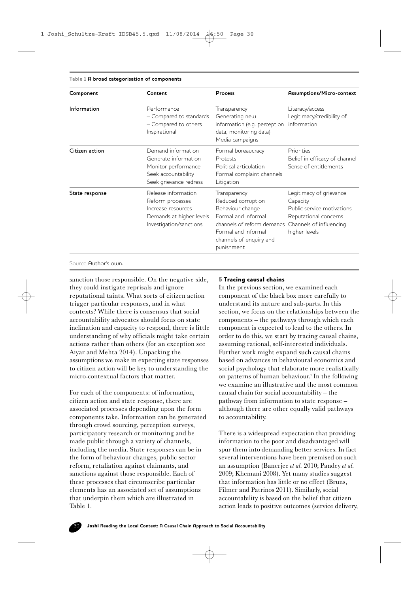#### **Table 1 A broad categorisation of components**

| Component      | Content                                                                                                              | Process                                                                                                                                                                     | Assumptions/Micro-context                                                                                                              |
|----------------|----------------------------------------------------------------------------------------------------------------------|-----------------------------------------------------------------------------------------------------------------------------------------------------------------------------|----------------------------------------------------------------------------------------------------------------------------------------|
| Information    | Performance<br>- Compared to standards<br>- Compared to others<br>Inspirational                                      | Transparency<br>Generating new<br>information (e.g. perception information<br>data, monitoring data)<br>Media campaigns                                                     | Literacy/access<br>Legitimacy/credibility of                                                                                           |
| Citizen action | Demand information<br>Generate information<br>Monitor performance<br>Seek accountability<br>Seek grievance redress   | Formal bureaucracy<br>Protests<br>Political articulation<br>Formal complaint channels<br>Litigation                                                                         | Priorities<br>Belief in efficacy of channel<br>Sense of entitlements                                                                   |
| State response | Release information<br>Reform processes<br>Increase resources<br>Demands at higher levels<br>Investigation/sanctions | Transparency<br>Reduced corruption<br>Behaviour change<br>Formal and informal<br>channels of reform demands<br>Formal and informal<br>channels of enquiry and<br>punishment | Legitimacy of grievance<br>Capacity<br>Public service motivations<br>Reputational concerns<br>Channels of influencing<br>higher levels |

Source Author's own.

sanction those responsible. On the negative side, they could instigate reprisals and ignore reputational taints. What sorts of citizen action trigger particular responses, and in what contexts? While there is consensus that social accountability advocates should focus on state inclination and capacity to respond, there is little understanding of why officials might take certain actions rather than others (for an exception see Aiyar and Mehta 2014). Unpacking the assumptions we make in expecting state responses to citizen action will be key to understanding the micro-contextual factors that matter.

For each of the components: of information, citizen action and state response, there are associated processes depending upon the form components take. Information can be generated through crowd sourcing, perception surveys, participatory research or monitoring and be made public through a variety of channels, including the media. State responses can be in the form of behaviour changes, public sector reform, retaliation against claimants, and sanctions against those responsible. Each of these processes that circumscribe particular elements has an associated set of assumptions that underpin them which are illustrated in Table 1.

#### 5 Tracing causal chains

In the previous section, we examined each component of the black box more carefully to understand its nature and sub-parts. In this section, we focus on the relationships between the components – the pathways through which each component is expected to lead to the others. In order to do this, we start by tracing causal chains, assuming rational, self-interested individuals. Further work might expand such causal chains based on advances in behavioural economics and social psychology that elaborate more realistically on patterns of human behaviour.7 In the following we examine an illustrative and the most common causal chain for social accountability – the pathway from information to state response – although there are other equally valid pathways to accountability.

There is a widespread expectation that providing information to the poor and disadvantaged will spur them into demanding better services. In fact several interventions have been premised on such an assumption (Banerjee *et al.* 2010; Pandey *et al.* 2009; Khemani 2008). Yet many studies suggest that information has little or no effect (Bruns, Filmer and Patrinos 2011). Similarly, social accountability is based on the belief that citizen action leads to positive outcomes (service delivery,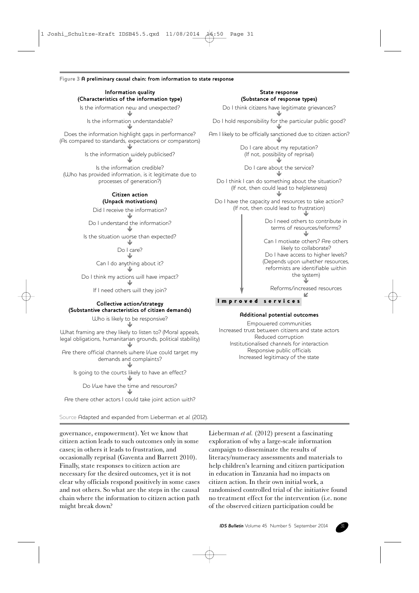#### **Figure 3 A preliminary causal chain: from information to state response**

#### **Information quality (Characteristics of the information type)**

Is the information new and unexpected? Ð

Is the information understandable? Ð

Does the information highlight gaps in performance? (As compared to standards, expectations or comparators) Ð

Is the information widely publicised? Ð

Is the information credible? (Who has provided information, is it legitimate due to processes of generation?)

#### **Citizen action (Unpack motivations)**

Did I receive the information?

Ð Do I understand the information?

Ð

Is the situation worse than expected? Ð

Do I care?

Ð Can I do anything about it?

Ð Do I think my actions will have impact?

> Ð If I need others will they join?

#### **Collective action/strategy (Substantive characteristics of citizen demands)**

Who is likely to be responsive? Ð

What framing are they likely to listen to? (Moral appeals, legal obligations, humanitarian grounds, political stability) Ð

Are there official channels where I/we could target my demands and complaints?

Ð Is going to the courts likely to have an effect?

Ð Do I/we have the time and resources? Ð

Are there other actors I could take joint action with?

Source Adapted and expanded from Lieberman et al. (2012).

governance, empowerment). Yet we know that citizen action leads to such outcomes only in some cases; in others it leads to frustration, and occasionally reprisal (Gaventa and Barrett 2010). Finally, state responses to citizen action are necessary for the desired outcomes, yet it is not clear why officials respond positively in some cases and not others. So what are the steps in the causal chain where the information to citizen action path might break down?

Lieberman *et al.* (2012) present a fascinating exploration of why a large-scale information campaign to disseminate the results of literacy/numeracy assessments and materials to help children's learning and citizen participation in education in Tanzania had no impacts on citizen action. In their own initial work, a randomised controlled trial of the initiative found no treatment effect for the intervention (i.e. none of the observed citizen participation could be

**IDS Bulletin** Volume 45 Number 5 September 2014



#### **State response (Substance of response types)**

Do I think citizens have legitimate grievances? Ð

Do I hold responsibility for the particular public good? Ð

Am I likely to be officially sanctioned due to citizen action?

Ð Do I care about my reputation? (If not, possibility of reprisal)

Ð Do I care about the service? Ð

Do I think I can do something about the situation? (If not, then could lead to helplessness) Ð

Do I have the capacity and resources to take action? (If not, then could lead to frustration)

> Ð Do I need others to contribute in terms of resources/reforms? Ð Can I motivate others? Are others likely to collaborate? Do I have access to higher levels? (Depends upon whether resources, reformists are identifiable within the system) Ð

Reforms/increased resources Ó

Improved services

#### **Additional potential outcomes**

Empowered communities Increased trust between citizens and state actors Reduced corruption Institutionalised channels for interaction Responsive public officials Increased legitimacy of the state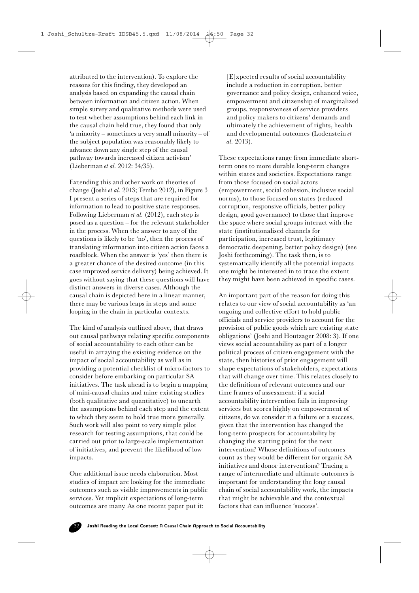attributed to the intervention). To explore the reasons for this finding, they developed an analysis based on expanding the causal chain between information and citizen action. When simple survey and qualitative methods were used to test whether assumptions behind each link in the causal chain held true, they found that only 'a minority – sometimes a very small minority – of the subject population was reasonably likely to advance down any single step of the causal pathway towards increased citizen activism' (Lieberman *et al.* 2012: 34/35).

Extending this and other work on theories of change (Joshi *et al.* 2013; Tembo 2012), in Figure 3 I present a series of steps that are required for information to lead to positive state responses. Following Lieberman *et al.* (2012), each step is posed as a question – for the relevant stakeholder in the process. When the answer to any of the questions is likely to be 'no', then the process of translating information into citizen action faces a roadblock. When the answer is 'yes' then there is a greater chance of the desired outcome (in this case improved service delivery) being achieved. It goes without saying that these questions will have distinct answers in diverse cases. Although the causal chain is depicted here in a linear manner, there may be various leaps in steps and some looping in the chain in particular contexts.

The kind of analysis outlined above, that draws out causal pathways relating specific components of social accountability to each other can be useful in arraying the existing evidence on the impact of social accountability as well as in providing a potential checklist of micro-factors to consider before embarking on particular SA initiatives. The task ahead is to begin a mapping of mini-causal chains and mine existing studies (both qualitative and quantitative) to unearth the assumptions behind each step and the extent to which they seem to hold true more generally. Such work will also point to very simple pilot research for testing assumptions, that could be carried out prior to large-scale implementation of initiatives, and prevent the likelihood of low impacts.

One additional issue needs elaboration. Most studies of impact are looking for the immediate outcomes such as visible improvements in public services. Yet implicit expectations of long-term outcomes are many. As one recent paper put it:

[E]xpected results of social accountability include a reduction in corruption, better governance and policy design, enhanced voice, empowerment and citizenship of marginalized groups, responsiveness of service providers and policy makers to citizens' demands and ultimately the achievement of rights, health and developmental outcomes (Lodenstein *et al.* 2013).

These expectations range from immediate shortterm ones to more durable long-term changes within states and societies. Expectations range from those focused on social actors (empowerment, social cohesion, inclusive social norms), to those focused on states (reduced corruption, responsive officials, better policy design, good governance) to those that improve the space where social groups interact with the state (institutionalised channels for participation, increased trust, legitimacy democratic deepening, better policy design) (see Joshi forthcoming). The task then, is to systematically identify all the potential impacts one might be interested in to trace the extent they might have been achieved in specific cases.

An important part of the reason for doing this relates to our view of social accountability as 'an ongoing and collective effort to hold public officials and service providers to account for the provision of public goods which are existing state obligations' (Joshi and Houtzager 2008: 3). If one views social accountability as part of a longer political process of citizen engagement with the state, then histories of prior engagement will shape expectations of stakeholders, expectations that will change over time. This relates closely to the definitions of relevant outcomes and our time frames of assessment: if a social accountability intervention fails in improving services but scores highly on empowerment of citizens, do we consider it a failure or a success, given that the intervention has changed the long-term prospects for accountability by changing the starting point for the next intervention? Whose definitions of outcomes count as they would be different for organic SA initiatives and donor interventions? Tracing a range of intermediate and ultimate outcomes is important for understanding the long causal chain of social accountability work, the impacts that might be achievable and the contextual factors that can influence 'success'.

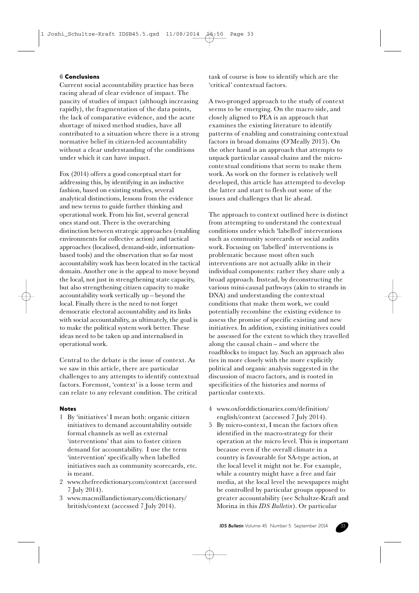# 6 Conclusions

Current social accountability practice has been racing ahead of clear evidence of impact. The paucity of studies of impact (although increasing rapidly), the fragmentation of the data points, the lack of comparative evidence, and the acute shortage of mixed method studies, have all contributed to a situation where there is a strong normative belief in citizen-led accountability without a clear understanding of the conditions under which it can have impact.

Fox (2014) offers a good conceptual start for addressing this, by identifying in an inductive fashion, based on existing studies, several analytical distinctions, lessons from the evidence and new terms to guide further thinking and operational work. From his list, several general ones stand out. There is the overarching distinction between strategic approaches (enabling environments for collective action) and tactical approaches (localised, demand-side, informationbased tools) and the observation that so far most accountability work has been located in the tactical domain. Another one is the appeal to move beyond the local, not just in strengthening state capacity, but also strengthening citizen capacity to make accountability work vertically up – beyond the local. Finally there is the need to not forget democratic electoral accountability and its links with social accountability, as ultimately, the goal is to make the political system work better. These ideas need to be taken up and internalised in operational work.

Central to the debate is the issue of context. As we saw in this article, there are particular challenges to any attempts to identify contextual factors. Foremost, 'context' is a loose term and can relate to any relevant condition. The critical

#### Notes

- 1 By 'initiatives' I mean both: organic citizen initiatives to demand accountability outside formal channels as well as external 'interventions' that aim to foster citizen demand for accountability. I use the term 'intervention' specifically when labelled initiatives such as community scorecards, etc. is meant.
- 2 www.thefreedictionary.com/context (accessed 7 July 2014).
- 3 www.macmillandictionary.com/dictionary/ british/context (accessed 7 July 2014).

task of course is how to identify which are the 'critical' contextual factors.

A two-pronged approach to the study of context seems to be emerging. On the macro side, and closely aligned to PEA is an approach that examines the existing literature to identify patterns of enabling and constraining contextual factors in broad domains (O'Meally 2013). On the other hand is an approach that attempts to unpack particular causal chains and the microcontextual conditions that seem to make them work. As work on the former is relatively well developed, this article has attempted to develop the latter and start to flesh out some of the issues and challenges that lie ahead.

The approach to context outlined here is distinct from attempting to understand the contextual conditions under which 'labelled' interventions such as community scorecards or social audits work. Focusing on 'labelled' interventions is problematic because most often such interventions are not actually alike in their individual components: rather they share only a broad approach. Instead, by deconstructing the various mini-causal pathways (akin to strands in DNA) and understanding the contextual conditions that make them work, we could potentially recombine the existing evidence to assess the promise of specific existing and new initiatives. In addition, existing initiatives could be assessed for the extent to which they travelled along the causal chain – and where the roadblocks to impact lay. Such an approach also ties in more closely with the more explicitly political and organic analysis suggested in the discussion of macro factors, and is rooted in specificities of the histories and norms of particular contexts.

- 4 www.oxforddictionaries.com/definition/ english/context (accessed 7 July 2014).
- 5 By micro-context, I mean the factors often identified in the macro-strategy for their operation at the micro level. This is important because even if the overall climate in a country is favourable for SA-type action, at the local level it might not be. For example, while a country might have a free and fair media, at the local level the newspapers might be controlled by particular groups opposed to greater accountability (see Schultze-Kraft and Morina in this *IDS Bulletin*). Or particular

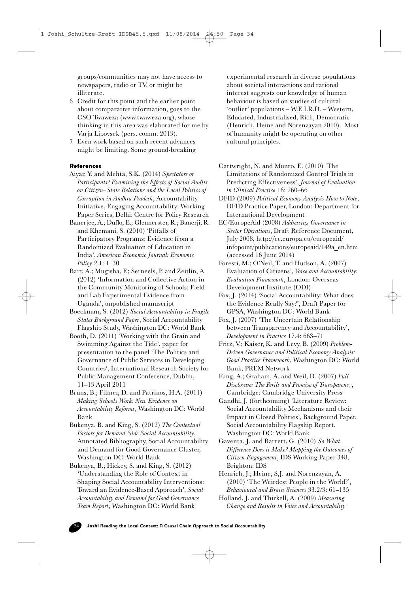groups/communities may not have access to newspapers, radio or TV, or might be illiterate.

- 6 Credit for this point and the earlier point about comparative information, goes to the CSO Twaweza (www.twaweza.org), whose thinking in this area was elaborated for me by Varja Lipovsek (pers. comm. 2013).
- 7 Even work based on such recent advances might be limiting. Some ground-breaking

# References

- Aiyar, Y. and Mehta, S.K. (2014) *Spectators or Participants? Examining the Effects of Social Audits on Citizen–State Relations and the Local Politics of Corruption in Andhra Pradesh*, Accountability Initiative, Engaging Accountability: Working Paper Series, Delhi: Centre for Policy Research
- Banerjee, A.; Duflo, E.; Glennerster, R.; Banerji, R. and Khemani, S. (2010) 'Pitfalls of Participatory Programs: Evidence from a Randomized Evaluation of Education in India', *American Economic Journal: Economic Policy* 2.1: 1–30
- Barr, A.; Mugisha, F.; Serneels, P. and Zeitlin, A. (2012) 'Information and Collective Action in the Community Monitoring of Schools: Field and Lab Experimental Evidence from Uganda', unpublished manuscript
- Boeckman, S. (2012) *Social Accountability in Fragile States Background Paper*, Social Accountability Flagship Study, Washington DC: World Bank
- Booth, D. (2011) 'Working with the Grain and Swimming Against the Tide', paper for presentation to the panel 'The Politics and Governance of Public Services in Developing Countries', International Research Society for Public Management Conference, Dublin, 11–13 April 2011
- Bruns, B.; Filmer, D. and Patrinos, H.A. (2011) *Making Schools Work: New Evidence on Accountability Reforms*, Washington DC: World Bank
- Bukenya, B. and King, S. (2012) *The Contextual Factors for Demand-Side Social Accountability*, Annotated Bibliography, Social Accountability and Demand for Good Governance Cluster, Washington DC: World Bank
- Bukenya, B.; Hickey, S. and King, S. (2012) 'Understanding the Role of Context in Shaping Social Accountability Interventions: Toward an Evidence-Based Approach', *Social Accountability and Demand for Good Governance Team Report*, Washington DC: World Bank

experimental research in diverse populations about societal interactions and rational interest suggests our knowledge of human behaviour is based on studies of cultural 'outlier' populations – W.E.I.R.D. – Western, Educated, Industrialised, Rich, Democratic (Henrich, Heine and Norenzayan 2010). Most of humanity might be operating on other cultural principles.

Cartwright, N. and Munro, E. (2010) 'The Limitations of Randomized Control Trials in Predicting Effectiveness', *Journal of Evaluation in Clinical Practice* 16: 260–66

DFID (2009) *Political Economy Analysis How to Note*, DFID Practice Paper, London: Department for International Development

EC/EuropeAid (2008) *Addressing Governance in Sector Operations*, Draft Reference Document, July 2008, http://ec.europa.eu/europeaid/ infopoint/publications/europeaid/149a\_en.htm (accessed 16 June 2014)

- Foresti, M.; O'Neil, T. and Hudson, A. (2007) Evaluation of Citizens', *Voice and Accountability: Evaluation Framework*, London: Overseas Development Institute (ODI)
- Fox, J. (2014) 'Social Accountability: What does the Evidence Really Say?', Draft Paper for GPSA, Washington DC: World Bank

Fox, J. (2007) 'The Uncertain Relationship between Transparency and Accountability', *Development in Practice* 17.4: 663–71

- Fritz, V.; Kaiser, K. and Levy, B. (2009) *Problem-Driven Governance and Political Economy Analysis: Good Practice Framework*, Washington DC: World Bank, PREM Network
- Fung, A.; Graham, A. and Weil, D. (2007) *Full Disclosure: The Perils and Promise of Transparency*, Cambridge: Cambridge University Press
- Gandhi, J. (forthcoming) 'Literature Review: Social Accountability Mechanisms and their Impact in Closed Polities', Background Paper, Social Accountability Flagship Report, Washington DC: World Bank
- Gaventa, J. and Barrett, G. (2010) *So What Difference Does it Make? Mapping the Outcomes of Citizen Engagement*, IDS Working Paper 348, Brighton: IDS
- Henrich, J.; Heine, S.J. and Norenzayan, A. (2010) 'The Weirdest People in the World?', *Behavioural and Brain Sciences* 33.2/3: 61–135
- Holland, J. and Thirkell, A. (2009) *Measuring Change and Results in Voice and Accountability*